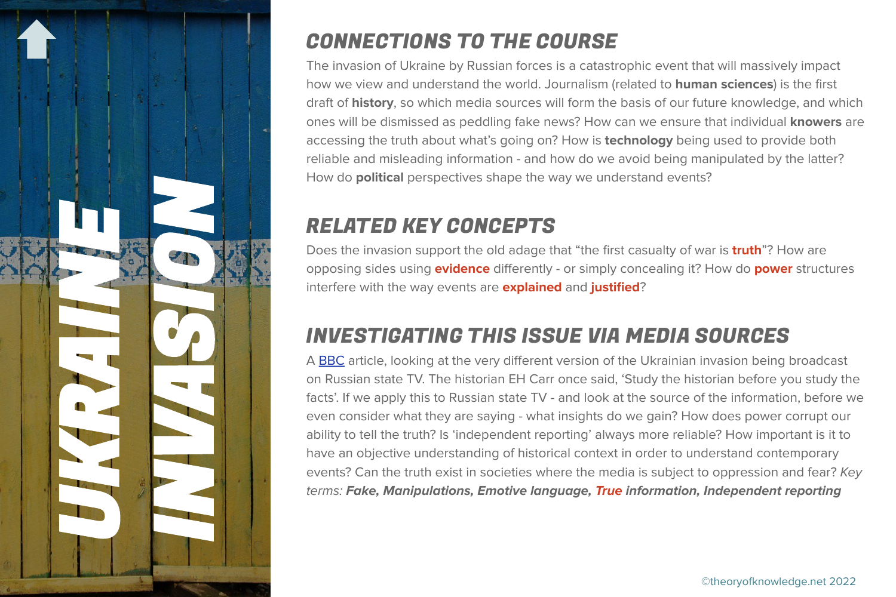

## CONNECTIONS TO THE COURSE

The invasion of Ukraine by Russian forces is a catastrophic event that will massively impact how we view and understand the world. Journalism (related to **human sciences**) is the first draft of **history**, so which media sources will form the basis of our future knowledge, and which ones will be dismissed as peddling fake news? How can we ensure that individual **knowers** are accessing the truth about what's going on? How is **technology** being used to provide both reliable and misleading information - and how do we avoid being manipulated by the latter? How do **political** perspectives shape the way we understand events?

## RELATED KEY CONCEPTS

Does the invasion support the old adage that "the first casualty of war is **truth**"? How are opposing sides using **evidence** differently - or simply concealing it? How do **power** structures interfere with the way events are **explained** and **justified**?

## INVESTIGATING THIS ISSUE VIA MEDIA SOURCES

A [BBC](https://www.bbc.co.uk/news/world-europe-60571737) article, looking at the very different version of the Ukrainian invasion being broadcast on Russian state TV. The historian EH Carr once said, 'Study the historian before you study the facts'. If we apply this to Russian state TV - and look at the source of the information, before we even consider what they are saying - what insights do we gain? How does power corrupt our ability to tell the truth? Is 'independent reporting' always more reliable? How important is it to have an objective understanding of historical context in order to understand contemporary events? Can the truth exist in societies where the media is subject to oppression and fear? Key terms: **Fake, Manipulations, Emotive language, True information, Independent reporting**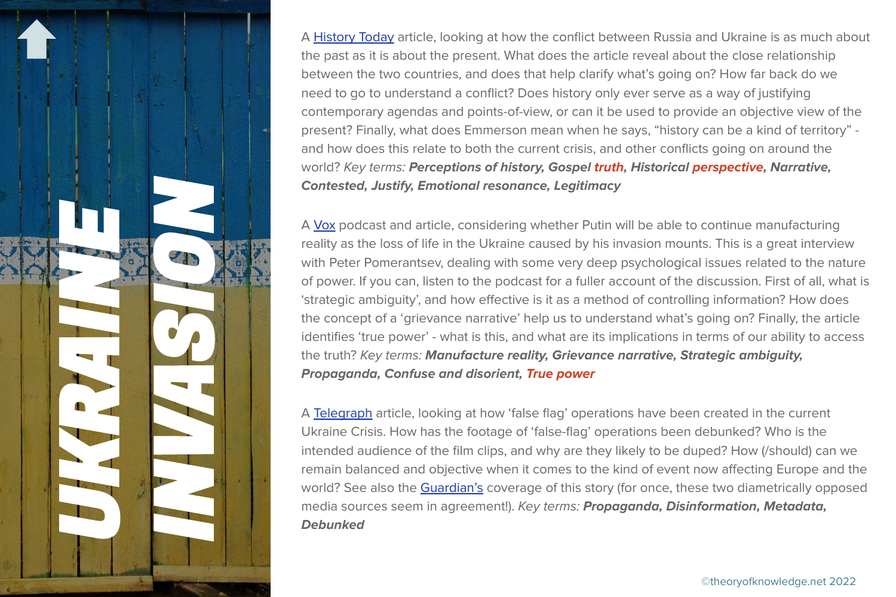

A [History Today](https://www.historytoday.com/archive/history-matters/ukraine-and-russias-history-wars) article, looking at how the conflict between Russia and Ukraine is as much about the past as it is about the present. What does the article reveal about the close relationship between the two countries, and does that help clarify what's going on? How far back do we need to go to understand a conflict? Does history only ever serve as a way of justifying contemporary agendas and points-of-view, or can it be used to provide an objective view of the present? Finally, what does Emmerson mean when he says, "history can be a kind of territory" and how does this relate to both the current crisis, and other conflicts going on around the world? Key terms: **Perceptions of history, Gospel truth, Historical perspective, Narrative, Contested, Justify, Emotional resonance, Legitimacy**

A [Vox](https://www.vox.com/2022/3/1/22949057/vox-conversations-ukraine-russia-putin-peter-pomerantsev) podcast and article, considering whether Putin will be able to continue manufacturing reality as the loss of life in the Ukraine caused by his invasion mounts. This is a great interview with Peter Pomerantsev, dealing with some very deep psychological issues related to the nature of power. If you can, listen to the podcast for a fuller account of the discussion. First of all, what is 'strategic ambiguity', and how effective is it as a method of controlling information? How does the concept of a 'grievance narrative' help us to understand what's going on? Finally, the article identifies 'true power' - what is this, and what are its implications in terms of our ability to access the truth? Key terms: **Manufacture reality, Grievance narrative, Strategic ambiguity, Propaganda, Confuse and disorient, True power**

A [Telegraph](https://www.telegraph.co.uk/world-news/2022/02/21/five-russian-false-flags-comically-easy-debunk/) article, looking at how 'false flag' operations have been created in the current Ukraine Crisis. How has the footage of 'false-flag' operations been debunked? Who is the intended audience of the film clips, and why are they likely to be duped? How (/should) can we remain balanced and objective when it comes to the kind of event now affecting Europe and the world? See also the [Guardian's](https://www.theguardian.com/world/2022/feb/21/dumb-and-lazy-the-flawed-films-of-ukrainian-attacks-made-by-russias-fake-factory) coverage of this story (for once, these two diametrically opposed media sources seem in agreement!). Key terms: **Propaganda, Disinformation, Metadata, Debunked**